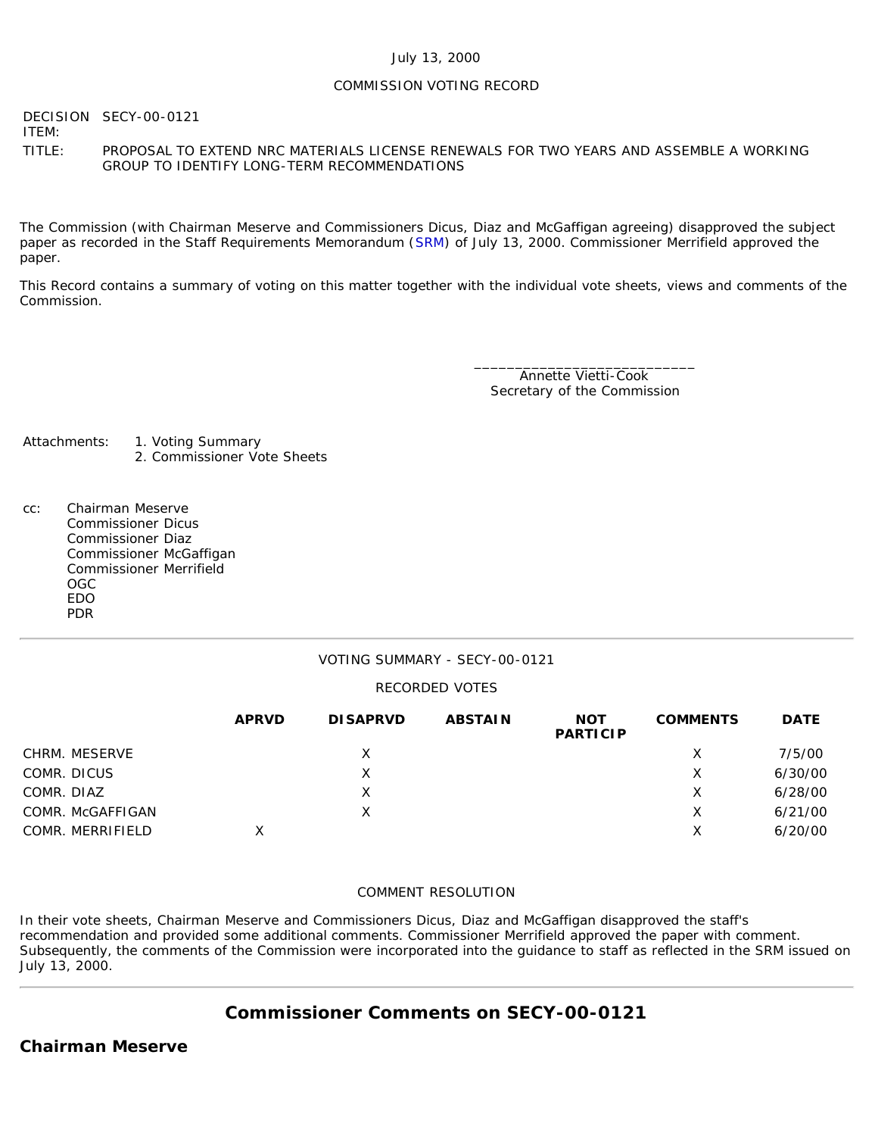#### July 13, 2000

### COMMISSION VOTING RECORD

DECISION SECY-00-0121

ITEM:

TITLE: PROPOSAL TO EXTEND NRC MATERIALS LICENSE RENEWALS FOR TWO YEARS AND ASSEMBLE A WORKING GROUP TO IDENTIFY LONG-TERM RECOMMENDATIONS

The Commission (with Chairman Meserve and Commissioners Dicus, Diaz and McGaffigan agreeing) disapproved the subject paper as recorded in the Staff Requirements Memorandum ([SRM](http://www.nrc.gov/reading-rm/doc-collections/commission/srm/2000/2000-0121srm.html)) of July 13, 2000. Commissioner Merrifield approved the paper.

This Record contains a summary of voting on this matter together with the individual vote sheets, views and comments of the Commission.

> \_\_\_\_\_\_\_\_\_\_\_\_\_\_\_\_\_\_\_\_\_\_\_\_\_\_\_ Annette Vietti-Cook Secretary of the Commission

- Attachments: 1. Voting Summary 2. Commissioner Vote Sheets
- cc: Chairman Meserve Commissioner Dicus Commissioner Diaz Commissioner McGaffigan Commissioner Merrifield OGC EDO PDR

### VOTING SUMMARY - SECY-00-0121

### RECORDED VOTES

|                  | <b>APRVD</b> | <b>DISAPRVD</b> | <b>ABSTAIN</b> | <b>NOT</b><br><b>PARTICIP</b> | <b>COMMENTS</b> | <b>DATE</b> |
|------------------|--------------|-----------------|----------------|-------------------------------|-----------------|-------------|
| CHRM. MESERVE    |              | X               |                |                               | X               | 7/5/00      |
| COMR. DICUS      |              | X               |                |                               | Х               | 6/30/00     |
| COMR. DIAZ       |              | X               |                |                               | Х               | 6/28/00     |
| COMR. McGAFFIGAN |              | Х               |                |                               | X               | 6/21/00     |
| COMR. MERRIFIELD | Χ            |                 |                |                               | Х               | 6/20/00     |

### COMMENT RESOLUTION

In their vote sheets, Chairman Meserve and Commissioners Dicus, Diaz and McGaffigan disapproved the staff's recommendation and provided some additional comments. Commissioner Merrifield approved the paper with comment. Subsequently, the comments of the Commission were incorporated into the guidance to staff as reflected in the SRM issued on July 13, 2000.

# **Commissioner Comments on [SECY-00-0121](http://www.nrc.gov/reading-rm/doc-collections/commission/secys/2000/secy2000-0121/2000-0121scy.html)**

### **Chairman Meserve**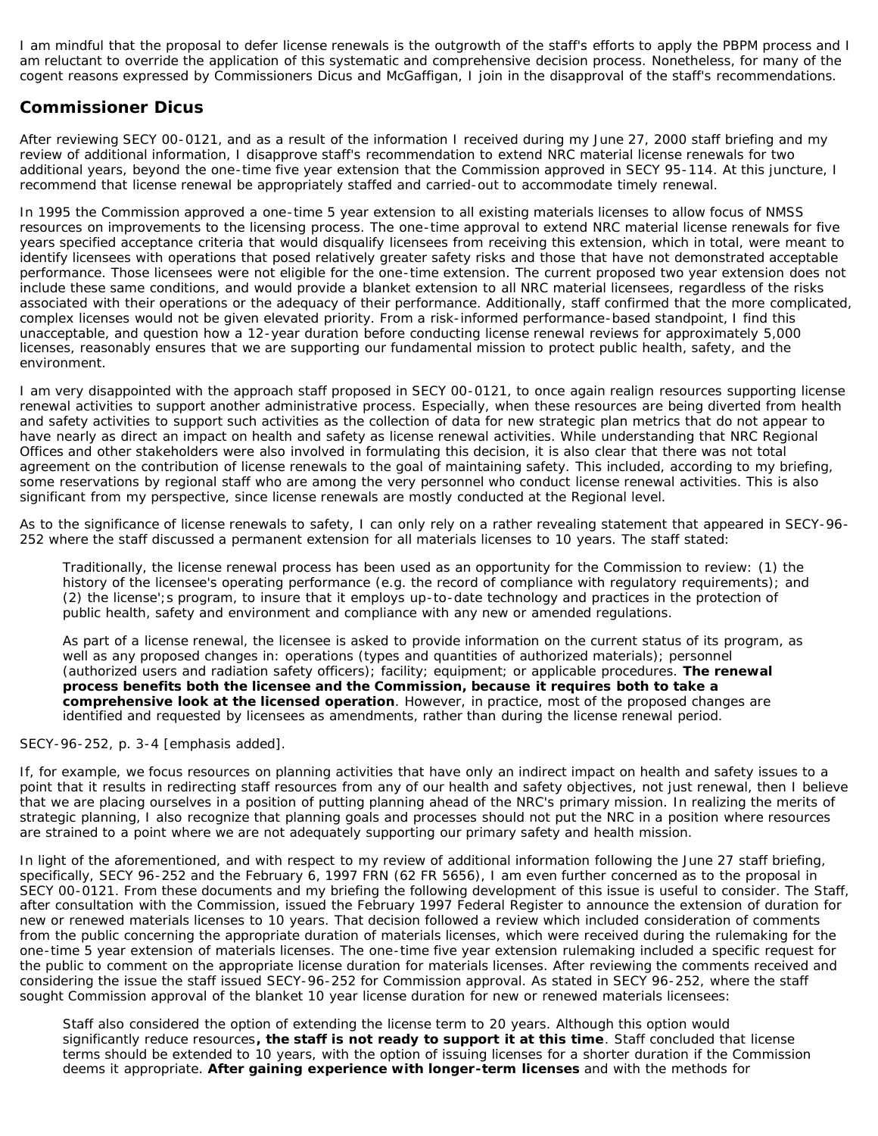I am mindful that the proposal to defer license renewals is the outgrowth of the staff's efforts to apply the PBPM process and I am reluctant to override the application of this systematic and comprehensive decision process. Nonetheless, for many of the cogent reasons expressed by Commissioners Dicus and McGaffigan, I join in the disapproval of the staff's recommendations.

## **Commissioner Dicus**

After reviewing SECY 00-0121, and as a result of the information I received during my June 27, 2000 staff briefing and my review of additional information, I disapprove staff's recommendation to extend NRC material license renewals for two additional years, beyond the one-time five year extension that the Commission approved in SECY 95-114. At this juncture, I recommend that license renewal be appropriately staffed and carried-out to accommodate timely renewal.

In 1995 the Commission approved a one-time 5 year extension to all existing materials licenses to allow focus of NMSS resources on improvements to the licensing process. The one-time approval to extend NRC material license renewals for five years specified acceptance criteria that would disqualify licensees from receiving this extension, which in total, were meant to identify licensees with operations that posed relatively greater safety risks and those that have not demonstrated acceptable performance. Those licensees were not eligible for the one-time extension. The current proposed two year extension does not include these same conditions, and would provide a blanket extension to all NRC material licensees, regardless of the risks associated with their operations or the adequacy of their performance. Additionally, staff confirmed that the more complicated, complex licenses would not be given elevated priority. From a risk-informed performance-based standpoint, I find this unacceptable, and question how a 12-year duration before conducting license renewal reviews for approximately 5,000 licenses, reasonably ensures that we are supporting our fundamental mission to protect public health, safety, and the environment.

I am very disappointed with the approach staff proposed in SECY 00-0121, to once again realign resources supporting license renewal activities to support another administrative process. Especially, when these resources are being diverted from health and safety activities to support such activities as the collection of data for new strategic plan metrics that do not appear to have nearly as direct an impact on health and safety as license renewal activities. While understanding that NRC Regional Offices and other stakeholders were also involved in formulating this decision, it is also clear that there was not total agreement on the contribution of license renewals to the goal of maintaining safety. This included, according to my briefing, some reservations by regional staff who are among the very personnel who conduct license renewal activities. This is also significant from my perspective, since license renewals are mostly conducted at the Regional level.

As to the significance of license renewals to safety, I can only rely on a rather revealing statement that appeared in SECY-96- 252 where the staff discussed a permanent extension for all materials licenses to 10 years. The staff stated:

Traditionally, the license renewal process has been used as an opportunity for the Commission to review: (1) the history of the licensee's operating performance (e.g. the record of compliance with regulatory requirements); and (2) the license';s program, to insure that it employs up-to-date technology and practices in the protection of public health, safety and environment and compliance with any new or amended regulations.

As part of a license renewal, the licensee is asked to provide information on the current status of its program, as well as any proposed changes in: operations (types and quantities of authorized materials); personnel (authorized users and radiation safety officers); facility; equipment; or applicable procedures. **The renewal process benefits both the licensee and the Commission, because it requires both to take a comprehensive look at the licensed operation**. However, in practice, most of the proposed changes are identified and requested by licensees as amendments, rather than during the license renewal period.

### SECY-96-252, p. 3-4 [emphasis added].

If, for example, we focus resources on planning activities that have only an indirect impact on health and safety issues to a point that it results in redirecting staff resources from any of our health and safety objectives, not just renewal, then I believe that we are placing ourselves in a position of putting planning ahead of the NRC's primary mission. In realizing the merits of strategic planning, I also recognize that planning goals and processes should not put the NRC in a position where resources are strained to a point where we are not adequately supporting our primary safety and health mission.

In light of the aforementioned, and with respect to my review of additional information following the June 27 staff briefing, specifically, SECY 96-252 and the February 6, 1997 FRN (62 FR 5656), I am even further concerned as to the proposal in SECY 00-0121. From these documents and my briefing the following development of this issue is useful to consider. The Staff, after consultation with the Commission, issued the February 1997 Federal Register to announce the extension of duration for new or renewed materials licenses to 10 years. That decision followed a review which included consideration of comments from the public concerning the appropriate duration of materials licenses, which were received during the rulemaking for the one-time 5 year extension of materials licenses. The one-time five year extension rulemaking included a specific request for the public to comment on the appropriate license duration for materials licenses. After reviewing the comments received and considering the issue the staff issued SECY-96-252 for Commission approval. As stated in SECY 96-252, where the staff sought Commission approval of the blanket 10 year license duration for new or renewed materials licensees:

Staff also considered the option of extending the license term to 20 years. Although this option would significantly reduce resources**, the staff is not ready to support it at this time**. Staff concluded that license terms should be extended to 10 years, with the option of issuing licenses for a shorter duration if the Commission deems it appropriate. **After gaining experience with longer-term licenses** and with the methods for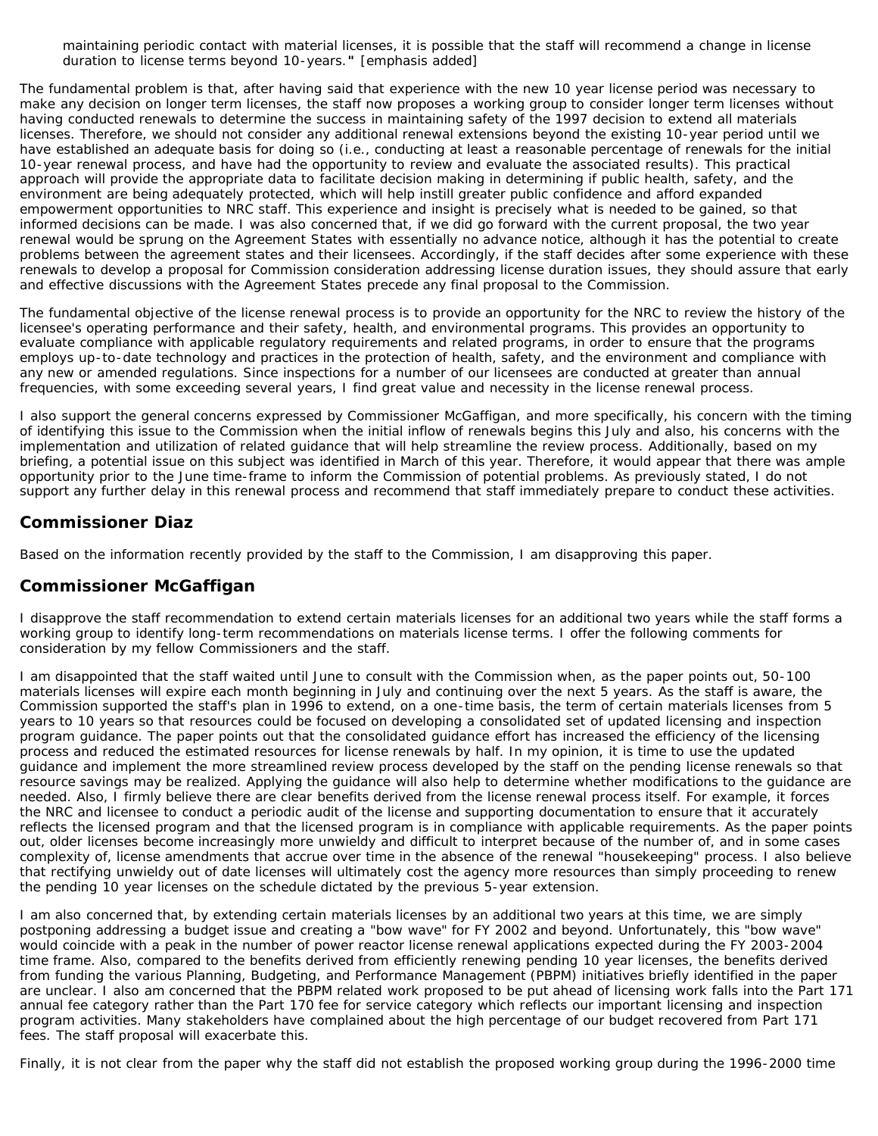maintaining periodic contact with material licenses, it is possible that the staff will recommend a change in license duration to license terms beyond 10-years.*"* [emphasis added]

The fundamental problem is that, after having said that experience with the new 10 year license period was necessary to make any decision on longer term licenses, the staff now proposes a working group to consider longer term licenses without having conducted renewals to determine the success in maintaining safety of the 1997 decision to extend all materials licenses. Therefore, we should not consider any additional renewal extensions beyond the existing 10-year period until we have established an adequate basis for doing so (i.e., conducting at least a reasonable percentage of renewals for the initial 10-year renewal process, and have had the opportunity to review and evaluate the associated results). This practical approach will provide the appropriate data to facilitate decision making in determining if public health, safety, and the environment are being adequately protected, which will help instill greater public confidence and afford expanded empowerment opportunities to NRC staff. This experience and insight is precisely what is needed to be gained, so that informed decisions can be made. I was also concerned that, if we did go forward with the current proposal, the two year renewal would be sprung on the Agreement States with essentially no advance notice, although it has the potential to create problems between the agreement states and their licensees. Accordingly, if the staff decides after some experience with these renewals to develop a proposal for Commission consideration addressing license duration issues, they should assure that early and effective discussions with the Agreement States precede any final proposal to the Commission.

The fundamental objective of the license renewal process is to provide an opportunity for the NRC to review the history of the licensee's operating performance and their safety, health, and environmental programs. This provides an opportunity to evaluate compliance with applicable regulatory requirements and related programs, in order to ensure that the programs employs up-to-date technology and practices in the protection of health, safety, and the environment and compliance with any new or amended regulations. Since inspections for a number of our licensees are conducted at greater than annual frequencies, with some exceeding several years, I find great value and necessity in the license renewal process.

I also support the general concerns expressed by Commissioner McGaffigan, and more specifically, his concern with the timing of identifying this issue to the Commission when the initial inflow of renewals begins this July and also, his concerns with the implementation and utilization of related guidance that will help streamline the review process. Additionally, based on my briefing, a potential issue on this subject was identified in March of this year. Therefore, it would appear that there was ample opportunity prior to the June time-frame to inform the Commission of potential problems. As previously stated, I do not support any further delay in this renewal process and recommend that staff immediately prepare to conduct these activities.

### **Commissioner Diaz**

Based on the information recently provided by the staff to the Commission, I am disapproving this paper.

### **Commissioner McGaffigan**

I disapprove the staff recommendation to extend certain materials licenses for an additional two years while the staff forms a working group to identify long-term recommendations on materials license terms. I offer the following comments for consideration by my fellow Commissioners and the staff.

I am disappointed that the staff waited until June to consult with the Commission when, as the paper points out, 50-100 materials licenses will expire each month beginning in July and continuing over the next 5 years. As the staff is aware, the Commission supported the staff's plan in 1996 to extend, on a one-time basis, the term of certain materials licenses from 5 years to 10 years so that resources could be focused on developing a consolidated set of updated licensing and inspection program guidance. The paper points out that the consolidated guidance effort has increased the efficiency of the licensing process and reduced the estimated resources for license renewals by half. In my opinion, it is time to use the updated guidance and implement the more streamlined review process developed by the staff on the pending license renewals so that resource savings may be realized. Applying the guidance will also help to determine whether modifications to the guidance are needed. Also, I firmly believe there are clear benefits derived from the license renewal process itself. For example, it forces the NRC and licensee to conduct a periodic audit of the license and supporting documentation to ensure that it accurately reflects the licensed program and that the licensed program is in compliance with applicable requirements. As the paper points out, older licenses become increasingly more unwieldy and difficult to interpret because of the number of, and in some cases complexity of, license amendments that accrue over time in the absence of the renewal "housekeeping" process. I also believe that rectifying unwieldy out of date licenses will ultimately cost the agency more resources than simply proceeding to renew the pending 10 year licenses on the schedule dictated by the previous 5-year extension.

I am also concerned that, by extending certain materials licenses by an additional two years at this time, we are simply postponing addressing a budget issue and creating a "bow wave" for FY 2002 and beyond. Unfortunately, this "bow wave" would coincide with a peak in the number of power reactor license renewal applications expected during the FY 2003-2004 time frame. Also, compared to the benefits derived from efficiently renewing pending 10 year licenses, the benefits derived from funding the various Planning, Budgeting, and Performance Management (PBPM) initiatives briefly identified in the paper are unclear. I also am concerned that the PBPM related work proposed to be put ahead of licensing work falls into the Part 171 annual fee category rather than the Part 170 fee for service category which reflects our important licensing and inspection program activities. Many stakeholders have complained about the high percentage of our budget recovered from Part 171 fees. The staff proposal will exacerbate this.

Finally, it is not clear from the paper why the staff did not establish the proposed working group during the 1996-2000 time